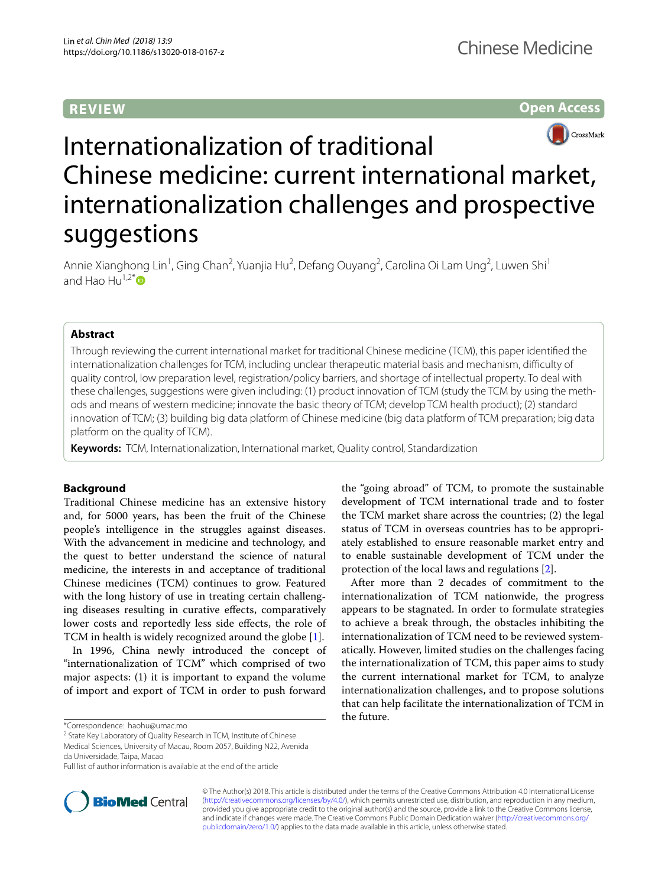## **REVIEW**

**Open Access**



# Internationalization of traditional Chinese medicine: current international market, internationalization challenges and prospective suggestions

Annie Xianghong Lin<sup>1</sup>, Ging Chan<sup>2</sup>, Yuanjia Hu<sup>2</sup>, Defang Ouyang<sup>2</sup>, Carolina Oi Lam Ung<sup>2</sup>, Luwen Shi<sup>1</sup> and Hao Hu<sup>1,2[\\*](http://orcid.org/0000-0001-9441-106X)</sup> $\bullet$ 

## **Abstract**

Through reviewing the current international market for traditional Chinese medicine (TCM), this paper identifed the internationalization challenges for TCM, including unclear therapeutic material basis and mechanism, difculty of quality control, low preparation level, registration/policy barriers, and shortage of intellectual property. To deal with these challenges, suggestions were given including: (1) product innovation of TCM (study the TCM by using the methods and means of western medicine; innovate the basic theory of TCM; develop TCM health product); (2) standard innovation of TCM; (3) building big data platform of Chinese medicine (big data platform of TCM preparation; big data platform on the quality of TCM).

**Keywords:** TCM, Internationalization, International market, Quality control, Standardization

## **Background**

Traditional Chinese medicine has an extensive history and, for 5000 years, has been the fruit of the Chinese people's intelligence in the struggles against diseases. With the advancement in medicine and technology, and the quest to better understand the science of natural medicine, the interests in and acceptance of traditional Chinese medicines (TCM) continues to grow. Featured with the long history of use in treating certain challenging diseases resulting in curative efects, comparatively lower costs and reportedly less side efects, the role of TCM in health is widely recognized around the globe [[1\]](#page-5-0).

In 1996, China newly introduced the concept of "internationalization of TCM" which comprised of two major aspects: (1) it is important to expand the volume of import and export of TCM in order to push forward

\*Correspondence: haohu@umac.mo

<sup>2</sup> State Key Laboratory of Quality Research in TCM, Institute of Chinese

Full list of author information is available at the end of the article



the "going abroad" of TCM, to promote the sustainable development of TCM international trade and to foster the TCM market share across the countries; (2) the legal status of TCM in overseas countries has to be appropriately established to ensure reasonable market entry and to enable sustainable development of TCM under the protection of the local laws and regulations [[2\]](#page-5-1).

After more than 2 decades of commitment to the internationalization of TCM nationwide, the progress appears to be stagnated. In order to formulate strategies to achieve a break through, the obstacles inhibiting the internationalization of TCM need to be reviewed systematically. However, limited studies on the challenges facing the internationalization of TCM, this paper aims to study the current international market for TCM, to analyze internationalization challenges, and to propose solutions that can help facilitate the internationalization of TCM in the future.

© The Author(s) 2018. This article is distributed under the terms of the Creative Commons Attribution 4.0 International License [\(http://creativecommons.org/licenses/by/4.0/\)](http://creativecommons.org/licenses/by/4.0/), which permits unrestricted use, distribution, and reproduction in any medium, provided you give appropriate credit to the original author(s) and the source, provide a link to the Creative Commons license, and indicate if changes were made. The Creative Commons Public Domain Dedication waiver ([http://creativecommons.org/](http://creativecommons.org/publicdomain/zero/1.0/) [publicdomain/zero/1.0/](http://creativecommons.org/publicdomain/zero/1.0/)) applies to the data made available in this article, unless otherwise stated.

Medical Sciences, University of Macau, Room 2057, Building N22, Avenida da Universidade, Taipa, Macao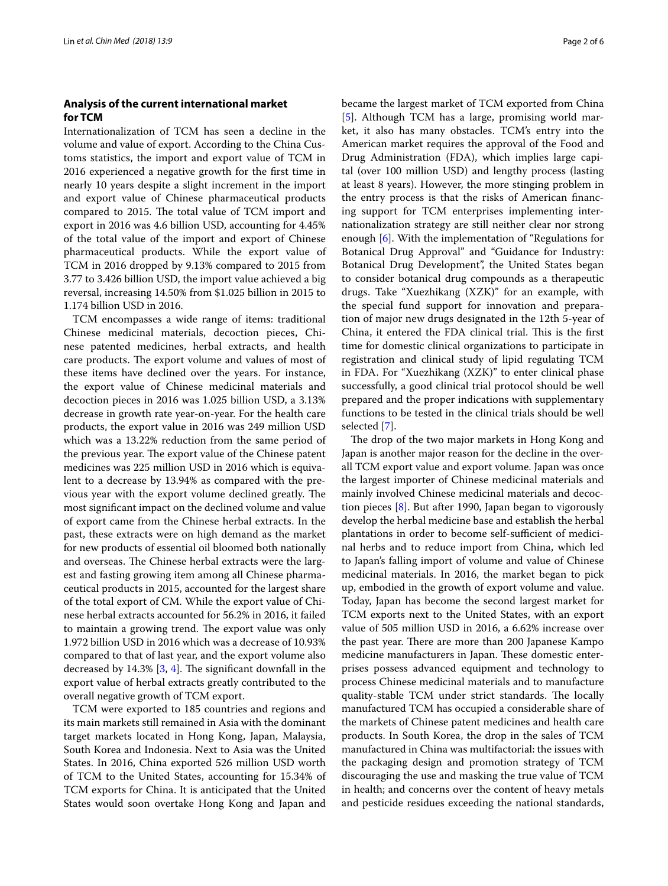## **Analysis of the current international market for TCM**

Internationalization of TCM has seen a decline in the volume and value of export. According to the China Customs statistics, the import and export value of TCM in 2016 experienced a negative growth for the frst time in nearly 10 years despite a slight increment in the import and export value of Chinese pharmaceutical products compared to 2015. The total value of TCM import and export in 2016 was 4.6 billion USD, accounting for 4.45% of the total value of the import and export of Chinese pharmaceutical products. While the export value of TCM in 2016 dropped by 9.13% compared to 2015 from 3.77 to 3.426 billion USD, the import value achieved a big reversal, increasing 14.50% from \$1.025 billion in 2015 to 1.174 billion USD in 2016.

TCM encompasses a wide range of items: traditional Chinese medicinal materials, decoction pieces, Chinese patented medicines, herbal extracts, and health care products. The export volume and values of most of these items have declined over the years. For instance, the export value of Chinese medicinal materials and decoction pieces in 2016 was 1.025 billion USD, a 3.13% decrease in growth rate year-on-year. For the health care products, the export value in 2016 was 249 million USD which was a 13.22% reduction from the same period of the previous year. The export value of the Chinese patent medicines was 225 million USD in 2016 which is equivalent to a decrease by 13.94% as compared with the previous year with the export volume declined greatly. The most signifcant impact on the declined volume and value of export came from the Chinese herbal extracts. In the past, these extracts were on high demand as the market for new products of essential oil bloomed both nationally and overseas. The Chinese herbal extracts were the largest and fasting growing item among all Chinese pharmaceutical products in 2015, accounted for the largest share of the total export of CM. While the export value of Chinese herbal extracts accounted for 56.2% in 2016, it failed to maintain a growing trend. The export value was only 1.972 billion USD in 2016 which was a decrease of 10.93% compared to that of last year, and the export volume also decreased by  $14.3\%$  $14.3\%$  $14.3\%$  [\[3](#page-5-2), 4]. The significant downfall in the export value of herbal extracts greatly contributed to the overall negative growth of TCM export.

TCM were exported to 185 countries and regions and its main markets still remained in Asia with the dominant target markets located in Hong Kong, Japan, Malaysia, South Korea and Indonesia. Next to Asia was the United States. In 2016, China exported 526 million USD worth of TCM to the United States, accounting for 15.34% of TCM exports for China. It is anticipated that the United States would soon overtake Hong Kong and Japan and became the largest market of TCM exported from China [[5\]](#page-5-4). Although TCM has a large, promising world market, it also has many obstacles. TCM's entry into the American market requires the approval of the Food and Drug Administration (FDA), which implies large capital (over 100 million USD) and lengthy process (lasting at least 8 years). However, the more stinging problem in the entry process is that the risks of American fnancing support for TCM enterprises implementing internationalization strategy are still neither clear nor strong enough [\[6](#page-5-5)]. With the implementation of "Regulations for Botanical Drug Approval" and "Guidance for Industry: Botanical Drug Development", the United States began to consider botanical drug compounds as a therapeutic drugs. Take "Xuezhikang (XZK)" for an example, with the special fund support for innovation and preparation of major new drugs designated in the 12th 5-year of China, it entered the FDA clinical trial. This is the first time for domestic clinical organizations to participate in registration and clinical study of lipid regulating TCM in FDA. For "Xuezhikang (XZK)" to enter clinical phase successfully, a good clinical trial protocol should be well prepared and the proper indications with supplementary functions to be tested in the clinical trials should be well selected [\[7](#page-5-6)].

The drop of the two major markets in Hong Kong and Japan is another major reason for the decline in the overall TCM export value and export volume. Japan was once the largest importer of Chinese medicinal materials and mainly involved Chinese medicinal materials and decoction pieces [\[8](#page-5-7)]. But after 1990, Japan began to vigorously develop the herbal medicine base and establish the herbal plantations in order to become self-sufficient of medicinal herbs and to reduce import from China, which led to Japan's falling import of volume and value of Chinese medicinal materials. In 2016, the market began to pick up, embodied in the growth of export volume and value. Today, Japan has become the second largest market for TCM exports next to the United States, with an export value of 505 million USD in 2016, a 6.62% increase over the past year. There are more than 200 Japanese Kampo medicine manufacturers in Japan. These domestic enterprises possess advanced equipment and technology to process Chinese medicinal materials and to manufacture quality-stable TCM under strict standards. The locally manufactured TCM has occupied a considerable share of the markets of Chinese patent medicines and health care products. In South Korea, the drop in the sales of TCM manufactured in China was multifactorial: the issues with the packaging design and promotion strategy of TCM discouraging the use and masking the true value of TCM in health; and concerns over the content of heavy metals and pesticide residues exceeding the national standards,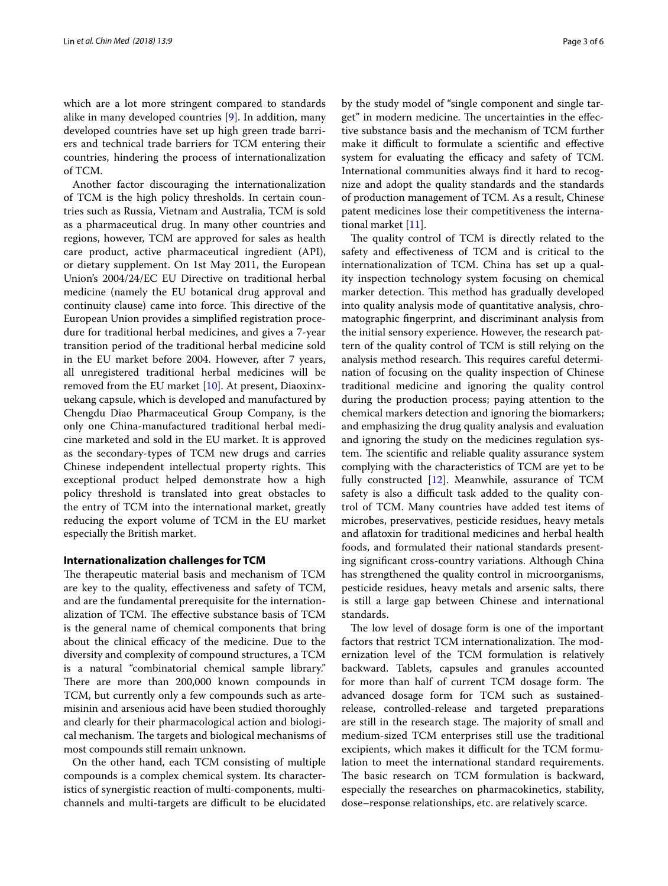which are a lot more stringent compared to standards alike in many developed countries [[9\]](#page-5-8). In addition, many developed countries have set up high green trade barriers and technical trade barriers for TCM entering their countries, hindering the process of internationalization of TCM.

Another factor discouraging the internationalization of TCM is the high policy thresholds. In certain countries such as Russia, Vietnam and Australia, TCM is sold as a pharmaceutical drug. In many other countries and regions, however, TCM are approved for sales as health care product, active pharmaceutical ingredient (API), or dietary supplement. On 1st May 2011, the European Union's 2004/24/EC EU Directive on traditional herbal medicine (namely the EU botanical drug approval and continuity clause) came into force. This directive of the European Union provides a simplifed registration procedure for traditional herbal medicines, and gives a 7-year transition period of the traditional herbal medicine sold in the EU market before 2004. However, after 7 years, all unregistered traditional herbal medicines will be removed from the EU market [[10\]](#page-5-9). At present, Diaoxinxuekang capsule, which is developed and manufactured by Chengdu Diao Pharmaceutical Group Company, is the only one China-manufactured traditional herbal medicine marketed and sold in the EU market. It is approved as the secondary-types of TCM new drugs and carries Chinese independent intellectual property rights. This exceptional product helped demonstrate how a high policy threshold is translated into great obstacles to the entry of TCM into the international market, greatly reducing the export volume of TCM in the EU market especially the British market.

## **Internationalization challenges for TCM**

The therapeutic material basis and mechanism of TCM are key to the quality, efectiveness and safety of TCM, and are the fundamental prerequisite for the internationalization of TCM. The effective substance basis of TCM is the general name of chemical components that bring about the clinical efficacy of the medicine. Due to the diversity and complexity of compound structures, a TCM is a natural "combinatorial chemical sample library." There are more than 200,000 known compounds in TCM, but currently only a few compounds such as artemisinin and arsenious acid have been studied thoroughly and clearly for their pharmacological action and biological mechanism. The targets and biological mechanisms of most compounds still remain unknown.

On the other hand, each TCM consisting of multiple compounds is a complex chemical system. Its characteristics of synergistic reaction of multi-components, multichannels and multi-targets are difficult to be elucidated by the study model of "single component and single target" in modern medicine. The uncertainties in the effective substance basis and the mechanism of TCM further make it difficult to formulate a scientific and effective system for evaluating the efficacy and safety of TCM. International communities always fnd it hard to recognize and adopt the quality standards and the standards of production management of TCM. As a result, Chinese patent medicines lose their competitiveness the international market [\[11\]](#page-5-10).

The quality control of TCM is directly related to the safety and efectiveness of TCM and is critical to the internationalization of TCM. China has set up a quality inspection technology system focusing on chemical marker detection. This method has gradually developed into quality analysis mode of quantitative analysis, chromatographic fngerprint, and discriminant analysis from the initial sensory experience. However, the research pattern of the quality control of TCM is still relying on the analysis method research. This requires careful determination of focusing on the quality inspection of Chinese traditional medicine and ignoring the quality control during the production process; paying attention to the chemical markers detection and ignoring the biomarkers; and emphasizing the drug quality analysis and evaluation and ignoring the study on the medicines regulation system. The scientific and reliable quality assurance system complying with the characteristics of TCM are yet to be fully constructed [[12\]](#page-5-11). Meanwhile, assurance of TCM safety is also a difficult task added to the quality control of TCM. Many countries have added test items of microbes, preservatives, pesticide residues, heavy metals and afatoxin for traditional medicines and herbal health foods, and formulated their national standards presenting signifcant cross-country variations. Although China has strengthened the quality control in microorganisms, pesticide residues, heavy metals and arsenic salts, there is still a large gap between Chinese and international standards.

The low level of dosage form is one of the important factors that restrict TCM internationalization. The modernization level of the TCM formulation is relatively backward. Tablets, capsules and granules accounted for more than half of current TCM dosage form. The advanced dosage form for TCM such as sustainedrelease, controlled-release and targeted preparations are still in the research stage. The majority of small and medium-sized TCM enterprises still use the traditional excipients, which makes it difficult for the TCM formulation to meet the international standard requirements. The basic research on TCM formulation is backward, especially the researches on pharmacokinetics, stability, dose–response relationships, etc. are relatively scarce.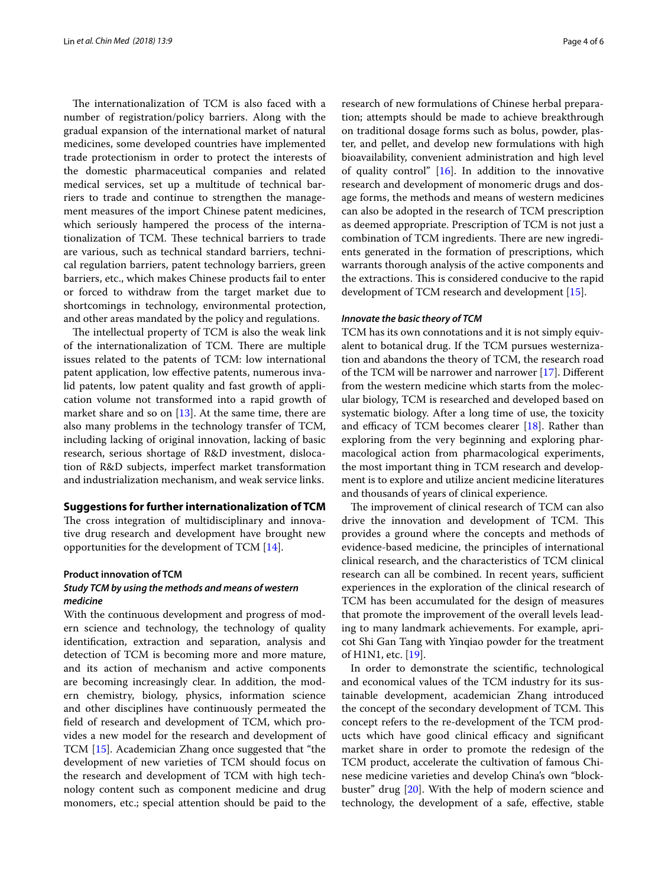The internationalization of TCM is also faced with a number of registration/policy barriers. Along with the gradual expansion of the international market of natural medicines, some developed countries have implemented trade protectionism in order to protect the interests of the domestic pharmaceutical companies and related medical services, set up a multitude of technical barriers to trade and continue to strengthen the management measures of the import Chinese patent medicines, which seriously hampered the process of the internationalization of TCM. These technical barriers to trade are various, such as technical standard barriers, technical regulation barriers, patent technology barriers, green barriers, etc., which makes Chinese products fail to enter or forced to withdraw from the target market due to shortcomings in technology, environmental protection, and other areas mandated by the policy and regulations.

The intellectual property of TCM is also the weak link of the internationalization of TCM. There are multiple issues related to the patents of TCM: low international patent application, low efective patents, numerous invalid patents, low patent quality and fast growth of application volume not transformed into a rapid growth of market share and so on  $[13]$  $[13]$ . At the same time, there are also many problems in the technology transfer of TCM, including lacking of original innovation, lacking of basic research, serious shortage of R&D investment, dislocation of R&D subjects, imperfect market transformation and industrialization mechanism, and weak service links.

## **Suggestions for further internationalization of TCM**

The cross integration of multidisciplinary and innovative drug research and development have brought new opportunities for the development of TCM [[14](#page-5-13)].

# **Product innovation of TCM**

## *Study TCM by using the methods and means of western medicine*

With the continuous development and progress of modern science and technology, the technology of quality identifcation, extraction and separation, analysis and detection of TCM is becoming more and more mature, and its action of mechanism and active components are becoming increasingly clear. In addition, the modern chemistry, biology, physics, information science and other disciplines have continuously permeated the feld of research and development of TCM, which provides a new model for the research and development of TCM [\[15\]](#page-5-14). Academician Zhang once suggested that "the development of new varieties of TCM should focus on the research and development of TCM with high technology content such as component medicine and drug monomers, etc.; special attention should be paid to the research of new formulations of Chinese herbal preparation; attempts should be made to achieve breakthrough on traditional dosage forms such as bolus, powder, plaster, and pellet, and develop new formulations with high bioavailability, convenient administration and high level of quality control"  $[16]$  $[16]$ . In addition to the innovative research and development of monomeric drugs and dosage forms, the methods and means of western medicines can also be adopted in the research of TCM prescription as deemed appropriate. Prescription of TCM is not just a combination of TCM ingredients. There are new ingredients generated in the formation of prescriptions, which warrants thorough analysis of the active components and the extractions. This is considered conducive to the rapid development of TCM research and development [\[15\]](#page-5-14).

## *Innovate the basic theory of TCM*

TCM has its own connotations and it is not simply equivalent to botanical drug. If the TCM pursues westernization and abandons the theory of TCM, the research road of the TCM will be narrower and narrower [\[17](#page-5-16)]. Diferent from the western medicine which starts from the molecular biology, TCM is researched and developed based on systematic biology. After a long time of use, the toxicity and efficacy of TCM becomes clearer  $[18]$ . Rather than exploring from the very beginning and exploring pharmacological action from pharmacological experiments, the most important thing in TCM research and development is to explore and utilize ancient medicine literatures and thousands of years of clinical experience.

The improvement of clinical research of TCM can also drive the innovation and development of TCM. This provides a ground where the concepts and methods of evidence-based medicine, the principles of international clinical research, and the characteristics of TCM clinical research can all be combined. In recent years, sufficient experiences in the exploration of the clinical research of TCM has been accumulated for the design of measures that promote the improvement of the overall levels leading to many landmark achievements. For example, apricot Shi Gan Tang with Yinqiao powder for the treatment of H1N1, etc. [[19](#page-5-18)].

In order to demonstrate the scientifc, technological and economical values of the TCM industry for its sustainable development, academician Zhang introduced the concept of the secondary development of TCM. This concept refers to the re-development of the TCM products which have good clinical efficacy and significant market share in order to promote the redesign of the TCM product, accelerate the cultivation of famous Chinese medicine varieties and develop China's own "blockbuster" drug [\[20](#page-5-19)]. With the help of modern science and technology, the development of a safe, efective, stable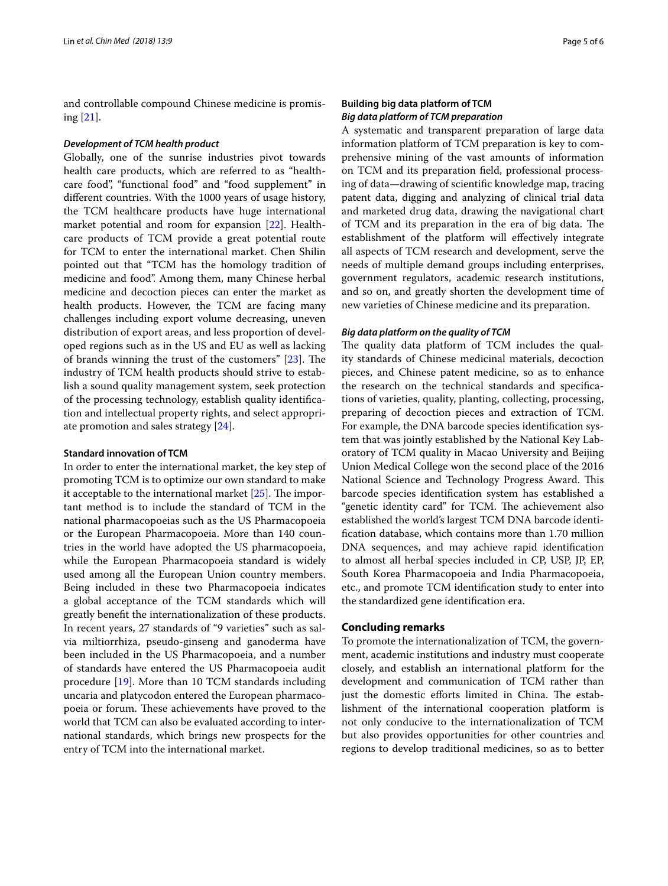and controllable compound Chinese medicine is promising [[21\]](#page-5-20).

### *Development of TCM health product*

Globally, one of the sunrise industries pivot towards health care products, which are referred to as "healthcare food", "functional food" and "food supplement" in diferent countries. With the 1000 years of usage history, the TCM healthcare products have huge international market potential and room for expansion [\[22\]](#page-5-21). Healthcare products of TCM provide a great potential route for TCM to enter the international market. Chen Shilin pointed out that "TCM has the homology tradition of medicine and food". Among them, many Chinese herbal medicine and decoction pieces can enter the market as health products. However, the TCM are facing many challenges including export volume decreasing, uneven distribution of export areas, and less proportion of developed regions such as in the US and EU as well as lacking of brands winning the trust of the customers"  $[23]$  $[23]$ . The industry of TCM health products should strive to establish a sound quality management system, seek protection of the processing technology, establish quality identifcation and intellectual property rights, and select appropriate promotion and sales strategy [\[24\]](#page-5-23).

## **Standard innovation of TCM**

In order to enter the international market, the key step of promoting TCM is to optimize our own standard to make it acceptable to the international market  $[25]$  $[25]$  $[25]$ . The important method is to include the standard of TCM in the national pharmacopoeias such as the US Pharmacopoeia or the European Pharmacopoeia. More than 140 countries in the world have adopted the US pharmacopoeia, while the European Pharmacopoeia standard is widely used among all the European Union country members. Being included in these two Pharmacopoeia indicates a global acceptance of the TCM standards which will greatly beneft the internationalization of these products. In recent years, 27 standards of "9 varieties" such as salvia miltiorrhiza, pseudo-ginseng and ganoderma have been included in the US Pharmacopoeia, and a number of standards have entered the US Pharmacopoeia audit procedure [\[19\]](#page-5-18). More than 10 TCM standards including uncaria and platycodon entered the European pharmacopoeia or forum. These achievements have proved to the world that TCM can also be evaluated according to international standards, which brings new prospects for the entry of TCM into the international market.

## **Building big data platform of TCM** *Big data platform of TCM preparation*

A systematic and transparent preparation of large data information platform of TCM preparation is key to comprehensive mining of the vast amounts of information on TCM and its preparation feld, professional processing of data—drawing of scientifc knowledge map, tracing patent data, digging and analyzing of clinical trial data and marketed drug data, drawing the navigational chart of TCM and its preparation in the era of big data. The establishment of the platform will efectively integrate all aspects of TCM research and development, serve the needs of multiple demand groups including enterprises, government regulators, academic research institutions, and so on, and greatly shorten the development time of new varieties of Chinese medicine and its preparation.

## *Big data platform on the quality of TCM*

The quality data platform of TCM includes the quality standards of Chinese medicinal materials, decoction pieces, and Chinese patent medicine, so as to enhance the research on the technical standards and specifcations of varieties, quality, planting, collecting, processing, preparing of decoction pieces and extraction of TCM. For example, the DNA barcode species identifcation system that was jointly established by the National Key Laboratory of TCM quality in Macao University and Beijing Union Medical College won the second place of the 2016 National Science and Technology Progress Award. This barcode species identifcation system has established a "genetic identity card" for TCM. The achievement also established the world's largest TCM DNA barcode identifcation database, which contains more than 1.70 million DNA sequences, and may achieve rapid identifcation to almost all herbal species included in CP, USP, JP, EP, South Korea Pharmacopoeia and India Pharmacopoeia, etc., and promote TCM identifcation study to enter into the standardized gene identifcation era.

## **Concluding remarks**

To promote the internationalization of TCM, the government, academic institutions and industry must cooperate closely, and establish an international platform for the development and communication of TCM rather than just the domestic efforts limited in China. The establishment of the international cooperation platform is not only conducive to the internationalization of TCM but also provides opportunities for other countries and regions to develop traditional medicines, so as to better